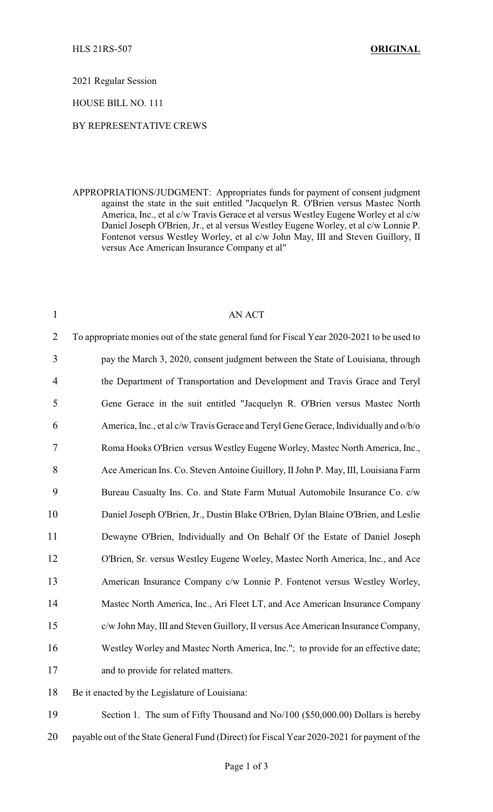2021 Regular Session

HOUSE BILL NO. 111

## BY REPRESENTATIVE CREWS

APPROPRIATIONS/JUDGMENT: Appropriates funds for payment of consent judgment against the state in the suit entitled "Jacquelyn R. O'Brien versus Mastec North America, Inc., et al c/w Travis Gerace et al versus Westley Eugene Worley et al c/w Daniel Joseph O'Brien, Jr., et al versus Westley Eugene Worley, et al c/w Lonnie P. Fontenot versus Westley Worley, et al c/w John May, III and Steven Guillory, II versus Ace American Insurance Company et al"

| $\mathbf{1}$   | <b>AN ACT</b>                                                                               |
|----------------|---------------------------------------------------------------------------------------------|
| $\overline{2}$ | To appropriate monies out of the state general fund for Fiscal Year 2020-2021 to be used to |
| 3              | pay the March 3, 2020, consent judgment between the State of Louisiana, through             |
| $\overline{4}$ | the Department of Transportation and Development and Travis Grace and Teryl                 |
| 5              | Gene Gerace in the suit entitled "Jacquelyn R. O'Brien versus Mastec North                  |
| 6              | America, Inc., et al c/w Travis Gerace and Teryl Gene Gerace, Individually and o/b/o        |
| 7              | Roma Hooks O'Brien versus Westley Eugene Worley, Mastec North America, Inc.,                |
| 8              | Ace American Ins. Co. Steven Antoine Guillory, II John P. May, III, Louisiana Farm          |
| 9              | Bureau Casualty Ins. Co. and State Farm Mutual Automobile Insurance Co. c/w                 |
| 10             | Daniel Joseph O'Brien, Jr., Dustin Blake O'Brien, Dylan Blaine O'Brien, and Leslie          |
| 11             | Dewayne O'Brien, Individually and On Behalf Of the Estate of Daniel Joseph                  |
| 12             | O'Brien, Sr. versus Westley Eugene Worley, Mastec North America, Inc., and Ace              |
| 13             | American Insurance Company c/w Lonnie P. Fontenot versus Westley Worley,                    |
| 14             | Mastec North America, Inc., Ari Fleet LT, and Ace American Insurance Company                |
| 15             | c/w John May, III and Steven Guillory, II versus Ace American Insurance Company,            |
| 16             | Westley Worley and Mastec North America, Inc."; to provide for an effective date;           |
| 17             | and to provide for related matters.                                                         |
| 18             | Be it enacted by the Legislature of Louisiana:                                              |

 Section 1. The sum of Fifty Thousand and No/100 (\$50,000.00) Dollars is hereby 20 payable out of the State General Fund (Direct) for Fiscal Year 2020-2021 for payment of the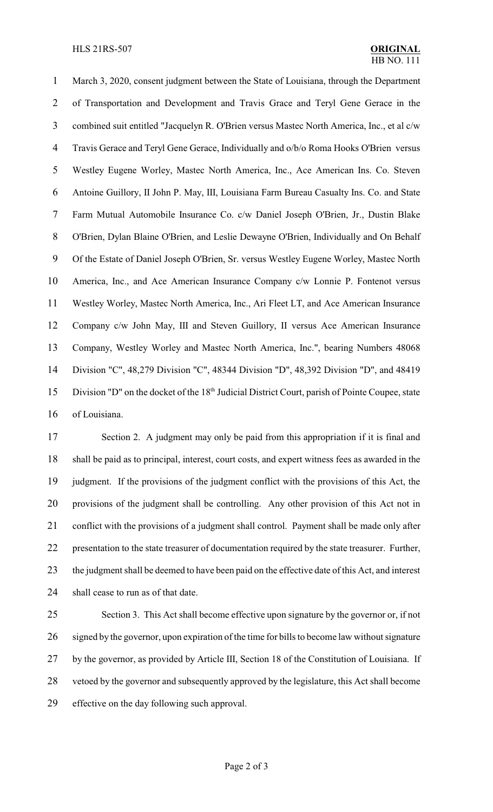## HLS 21RS-507 **ORIGINAL**

 March 3, 2020, consent judgment between the State of Louisiana, through the Department of Transportation and Development and Travis Grace and Teryl Gene Gerace in the combined suit entitled "Jacquelyn R. O'Brien versus Mastec North America, Inc., et al c/w Travis Gerace and Teryl Gene Gerace, Individually and o/b/o Roma Hooks O'Brien versus Westley Eugene Worley, Mastec North America, Inc., Ace American Ins. Co. Steven Antoine Guillory, II John P. May, III, Louisiana Farm Bureau Casualty Ins. Co. and State Farm Mutual Automobile Insurance Co. c/w Daniel Joseph O'Brien, Jr., Dustin Blake O'Brien, Dylan Blaine O'Brien, and Leslie Dewayne O'Brien, Individually and On Behalf Of the Estate of Daniel Joseph O'Brien, Sr. versus Westley Eugene Worley, Mastec North America, Inc., and Ace American Insurance Company c/w Lonnie P. Fontenot versus Westley Worley, Mastec North America, Inc., Ari Fleet LT, and Ace American Insurance Company c/w John May, III and Steven Guillory, II versus Ace American Insurance Company, Westley Worley and Mastec North America, Inc.", bearing Numbers 48068 Division "C", 48,279 Division "C", 48344 Division "D", 48,392 Division "D", and 48419 15 Division "D" on the docket of the 18<sup>th</sup> Judicial District Court, parish of Pointe Coupee, state of Louisiana.

 Section 2. A judgment may only be paid from this appropriation if it is final and shall be paid as to principal, interest, court costs, and expert witness fees as awarded in the judgment. If the provisions of the judgment conflict with the provisions of this Act, the provisions of the judgment shall be controlling. Any other provision of this Act not in 21 conflict with the provisions of a judgment shall control. Payment shall be made only after presentation to the state treasurer of documentation required by the state treasurer. Further, the judgment shall be deemed to have been paid on the effective date of this Act, and interest shall cease to run as of that date.

 Section 3. This Act shall become effective upon signature by the governor or, if not signed by the governor, upon expiration of the time for bills to become law without signature by the governor, as provided by Article III, Section 18 of the Constitution of Louisiana. If vetoed by the governor and subsequently approved by the legislature, this Act shall become effective on the day following such approval.